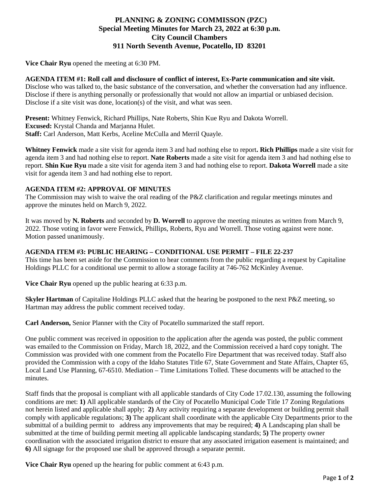# **PLANNING & ZONING COMMISSON (PZC) Special Meeting Minutes for March 23, 2022 at 6:30 p.m. City Council Chambers 911 North Seventh Avenue, Pocatello, ID 83201**

**Vice Chair Ryu** opened the meeting at 6:30 PM.

## **AGENDA ITEM #1: Roll call and disclosure of conflict of interest, Ex-Parte communication and site visit.**

Disclose who was talked to, the basic substance of the conversation, and whether the conversation had any influence. Disclose if there is anything personally or professionally that would not allow an impartial or unbiased decision. Disclose if a site visit was done, location(s) of the visit, and what was seen.

**Present:** Whitney Fenwick, Richard Phillips, Nate Roberts, Shin Kue Ryu and Dakota Worrell. **Excused:** Krystal Chanda and Marjanna Hulet. **Staff:** Carl Anderson, Matt Kerbs, Aceline McCulla and Merril Quayle.

**Whitney Fenwick** made a site visit for agenda item 3 and had nothing else to report**. Rich Phillips** made a site visit for agenda item 3 and had nothing else to report. **Nate Roberts** made a site visit for agenda item 3 and had nothing else to report. **Shin Kue Ryu** made a site visit for agenda item 3 and had nothing else to report. **Dakota Worrell** made a site visit for agenda item 3 and had nothing else to report.

#### **AGENDA ITEM #2: APPROVAL OF MINUTES**

The Commission may wish to waive the oral reading of the P&Z clarification and regular meetings minutes and approve the minutes held on March 9, 2022.

It was moved by **N. Roberts** and seconded by **D. Worrell** to approve the meeting minutes as written from March 9, 2022. Those voting in favor were Fenwick, Phillips, Roberts, Ryu and Worrell. Those voting against were none. Motion passed unanimously.

### **AGENDA ITEM #3: PUBLIC HEARING – CONDITIONAL USE PERMIT – FILE 22-237**

This time has been set aside for the Commission to hear comments from the public regarding a request by Capitaline Holdings PLLC for a conditional use permit to allow a storage facility at 746-762 McKinley Avenue.

**Vice Chair Ryu** opened up the public hearing at 6:33 p.m.

**Skyler Hartman** of Capitaline Holdings PLLC asked that the hearing be postponed to the next P&Z meeting, so Hartman may address the public comment received today.

**Carl Anderson,** Senior Planner with the City of Pocatello summarized the staff report.

One public comment was received in opposition to the application after the agenda was posted, the public comment was emailed to the Commission on Friday, March 18, 2022, and the Commission received a hard copy tonight. The Commission was provided with one comment from the Pocatello Fire Department that was received today. Staff also provided the Commission with a copy of the Idaho Statutes Title 67, State Government and State Affairs, Chapter 65, Local Land Use Planning, 67-6510. Mediation – Time Limitations Tolled. These documents will be attached to the minutes.

Staff finds that the proposal is compliant with all applicable standards of City Code 17.02.130, assuming the following conditions are met: **1)** All applicable standards of the City of Pocatello Municipal Code Title 17 Zoning Regulations not herein listed and applicable shall apply; **2)** Any activity requiring a separate development or building permit shall comply with applicable regulations; **3)** The applicant shall coordinate with the applicable City Departments prior to the submittal of a building permit to address any improvements that may be required; **4)** A Landscaping plan shall be submitted at the time of building permit meeting all applicable landscaping standards; **5)** The property owner coordination with the associated irrigation district to ensure that any associated irrigation easement is maintained; and **6)** All signage for the proposed use shall be approved through a separate permit.

**Vice Chair Ryu** opened up the hearing for public comment at 6:43 p.m.